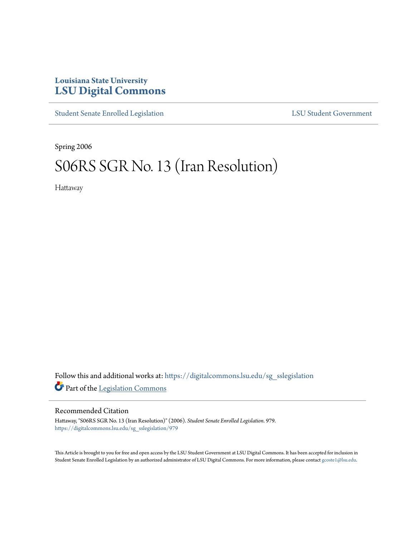## **Louisiana State University [LSU Digital Commons](https://digitalcommons.lsu.edu?utm_source=digitalcommons.lsu.edu%2Fsg_sslegislation%2F979&utm_medium=PDF&utm_campaign=PDFCoverPages)**

[Student Senate Enrolled Legislation](https://digitalcommons.lsu.edu/sg_sslegislation?utm_source=digitalcommons.lsu.edu%2Fsg_sslegislation%2F979&utm_medium=PDF&utm_campaign=PDFCoverPages) [LSU Student Government](https://digitalcommons.lsu.edu/sg?utm_source=digitalcommons.lsu.edu%2Fsg_sslegislation%2F979&utm_medium=PDF&utm_campaign=PDFCoverPages)

Spring 2006

# S06RS SGR No. 13 (Iran Resolution)

Hattaway

Follow this and additional works at: [https://digitalcommons.lsu.edu/sg\\_sslegislation](https://digitalcommons.lsu.edu/sg_sslegislation?utm_source=digitalcommons.lsu.edu%2Fsg_sslegislation%2F979&utm_medium=PDF&utm_campaign=PDFCoverPages) Part of the [Legislation Commons](http://network.bepress.com/hgg/discipline/859?utm_source=digitalcommons.lsu.edu%2Fsg_sslegislation%2F979&utm_medium=PDF&utm_campaign=PDFCoverPages)

#### Recommended Citation

Hattaway, "S06RS SGR No. 13 (Iran Resolution)" (2006). *Student Senate Enrolled Legislation*. 979. [https://digitalcommons.lsu.edu/sg\\_sslegislation/979](https://digitalcommons.lsu.edu/sg_sslegislation/979?utm_source=digitalcommons.lsu.edu%2Fsg_sslegislation%2F979&utm_medium=PDF&utm_campaign=PDFCoverPages)

This Article is brought to you for free and open access by the LSU Student Government at LSU Digital Commons. It has been accepted for inclusion in Student Senate Enrolled Legislation by an authorized administrator of LSU Digital Commons. For more information, please contact [gcoste1@lsu.edu.](mailto:gcoste1@lsu.edu)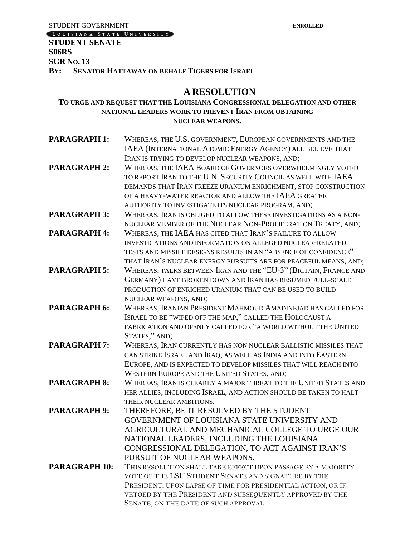STUDENT GOVERNMENT<br> **LOUISIANA STATE UNIVERSITY** 

## **STUDENT SENATE S06RS SGR NO. 13**

**BY: SENATOR HATTAWAY ON BEHALF TIGERS FOR ISRAEL**

## **A RESOLUTION**

### **TO URGE AND REQUEST THAT THE LOUISIANA CONGRESSIONAL DELEGATION AND OTHER NATIONAL LEADERS WORK TO PREVENT IRAN FROM OBTAINING NUCLEAR WEAPONS.**

| <b>PARAGRAPH 1:</b>  | WHEREAS, THE U.S. GOVERNMENT, EUROPEAN GOVERNMENTS AND THE       |
|----------------------|------------------------------------------------------------------|
|                      | IAEA (INTERNATIONAL ATOMIC ENERGY AGENCY) ALL BELIEVE THAT       |
|                      | IRAN IS TRYING TO DEVELOP NUCLEAR WEAPONS, AND;                  |
| <b>PARAGRAPH 2:</b>  | WHEREAS, THE IAEA BOARD OF GOVERNORS OVERWHELMINGLY VOTED        |
|                      | TO REPORT IRAN TO THE U.N. SECURITY COUNCIL AS WELL WITH IAEA    |
|                      | DEMANDS THAT IRAN FREEZE URANIUM ENRICHMENT, STOP CONSTRUCTION   |
|                      | OF A HEAVY-WATER REACTOR AND ALLOW THE IAEA GREATER              |
|                      | AUTHORITY TO INVESTIGATE ITS NUCLEAR PROGRAM, AND;               |
| <b>PARAGRAPH 3:</b>  | WHEREAS, IRAN IS OBLIGED TO ALLOW THESE INVESTIGATIONS AS A NON- |
|                      | NUCLEAR MEMBER OF THE NUCLEAR NON-PROLIFERATION TREATY, AND;     |
| <b>PARAGRAPH 4:</b>  | WHEREAS, THE IAEA HAS CITED THAT IRAN'S FAILURE TO ALLOW         |
|                      | INVESTIGATIONS AND INFORMATION ON ALLEGED NUCLEAR-RELATED        |
|                      | TESTS AND MISSILE DESIGNS RESULTS IN AN "ABSENCE OF CONFIDENCE"  |
|                      | THAT IRAN'S NUCLEAR ENERGY PURSUITS ARE FOR PEACEFUL MEANS, AND; |
| <b>PARAGRAPH 5:</b>  | WHEREAS, TALKS BETWEEN IRAN AND THE "EU-3" (BRITAIN, FRANCE AND  |
|                      | GERMANY) HAVE BROKEN DOWN AND IRAN HAS RESUMED FULL-SCALE        |
|                      | PRODUCTION OF ENRICHED URANIUM THAT CAN BE USED TO BUILD         |
|                      | NUCLEAR WEAPONS, AND;                                            |
| <b>PARAGRAPH 6:</b>  | WHEREAS, IRANIAN PRESIDENT MAHMOUD AMADINEJAD HAS CALLED FOR     |
|                      | ISRAEL TO BE "WIPED OFF THE MAP," CALLED THE HOLOCAUST A         |
|                      | FABRICATION AND OPENLY CALLED FOR "A WORLD WITHOUT THE UNITED    |
|                      | STATES," AND;                                                    |
| <b>PARAGRAPH 7:</b>  | WHEREAS, IRAN CURRENTLY HAS NON NUCLEAR BALLISTIC MISSILES THAT  |
|                      | CAN STRIKE ISRAEL AND IRAQ, AS WELL AS INDIA AND INTO EASTERN    |
|                      | EUROPE, AND IS EXPECTED TO DEVELOP MISSILES THAT WILL REACH INTO |
|                      | WESTERN EUROPE AND THE UNITED STATES, AND;                       |
| <b>PARAGRAPH 8:</b>  | WHEREAS, IRAN IS CLEARLY A MAJOR THREAT TO THE UNITED STATES AND |
|                      | HER ALLIES, INCLUDING ISRAEL, AND ACTION SHOULD BE TAKEN TO HALT |
|                      | THEIR NUCLEAR AMBITIONS,                                         |
| <b>PARAGRAPH 9:</b>  | THEREFORE, BE IT RESOLVED BY THE STUDENT                         |
|                      | GOVERNMENT OF LOUISIANA STATE UNIVERSITY AND                     |
|                      | AGRICULTURAL AND MECHANICAL COLLEGE TO URGE OUR                  |
|                      | NATIONAL LEADERS, INCLUDING THE LOUISIANA                        |
|                      | CONGRESSIONAL DELEGATION, TO ACT AGAINST IRAN'S                  |
|                      | PURSUIT OF NUCLEAR WEAPONS.                                      |
| <b>PARAGRAPH 10:</b> | THIS RESOLUTION SHALL TAKE EFFECT UPON PASSAGE BY A MAJORITY     |
|                      | VOTE OF THE LSU STUDENT SENATE AND SIGNATURE BY THE              |
|                      | PRESIDENT, UPON LAPSE OF TIME FOR PRESIDENTIAL ACTION, OR IF     |
|                      | VETOED BY THE PRESIDENT AND SUBSEQUENTLY APPROVED BY THE         |
|                      | SENATE, ON THE DATE OF SUCH APPROVAL                             |